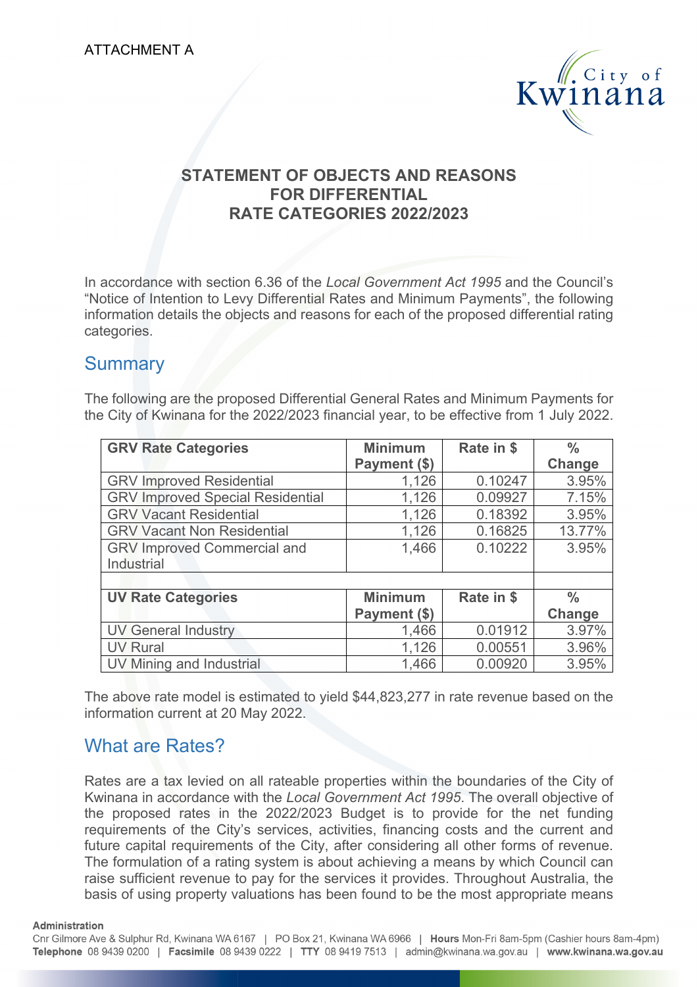

### **STATEMENT OF OBJECTS AND REASONS FOR DIFFERENTIAL RATE CATEGORIES 2022/2023**

In accordance with section 6.36 of the *Local Government Act 1995* and the Council's "Notice of Intention to Levy Differential Rates and Minimum Payments", the following information details the objects and reasons for each of the proposed differential rating categories.

## **Summary**

The following are the proposed Differential General Rates and Minimum Payments for the City of Kwinana for the 2022/2023 financial year, to be effective from 1 July 2022.

| <b>GRV Rate Categories</b>              | <b>Minimum</b> | Rate in \$ | $\frac{0}{0}$ |
|-----------------------------------------|----------------|------------|---------------|
|                                         | Payment (\$)   |            | Change        |
| <b>GRV Improved Residential</b>         | 1,126          | 0.10247    | 3.95%         |
| <b>GRV Improved Special Residential</b> | 1,126          | 0.09927    | 7.15%         |
| <b>GRV Vacant Residential</b>           | 1,126          | 0.18392    | 3.95%         |
| <b>GRV Vacant Non Residential</b>       | 1,126          | 0.16825    | 13.77%        |
| <b>GRV Improved Commercial and</b>      | 1,466          | 0.10222    | 3.95%         |
| Industrial                              |                |            |               |
|                                         |                |            |               |
| <b>UV Rate Categories</b>               | <b>Minimum</b> | Rate in \$ | $\frac{0}{0}$ |
|                                         | Payment (\$)   |            | Change        |
| <b>UV General Industry</b>              | 1,466          | 0.01912    | 3.97%         |
| <b>UV Rural</b>                         | 1,126          | 0.00551    | 3.96%         |
| UV Mining and Industrial                | 1,466          | 0.00920    | 3.95%         |

The above rate model is estimated to yield \$44,823,277 in rate revenue based on the information current at 20 May 2022.

## What are Rates?

Rates are a tax levied on all rateable properties within the boundaries of the City of Kwinana in accordance with the *Local Government Act 1995*. The overall objective of the proposed rates in the 2022/2023 Budget is to provide for the net funding requirements of the City's services, activities, financing costs and the current and future capital requirements of the City, after considering all other forms of revenue. The formulation of a rating system is about achieving a means by which Council can raise sufficient revenue to pay for the services it provides. Throughout Australia, the basis of using property valuations has been found to be the most appropriate means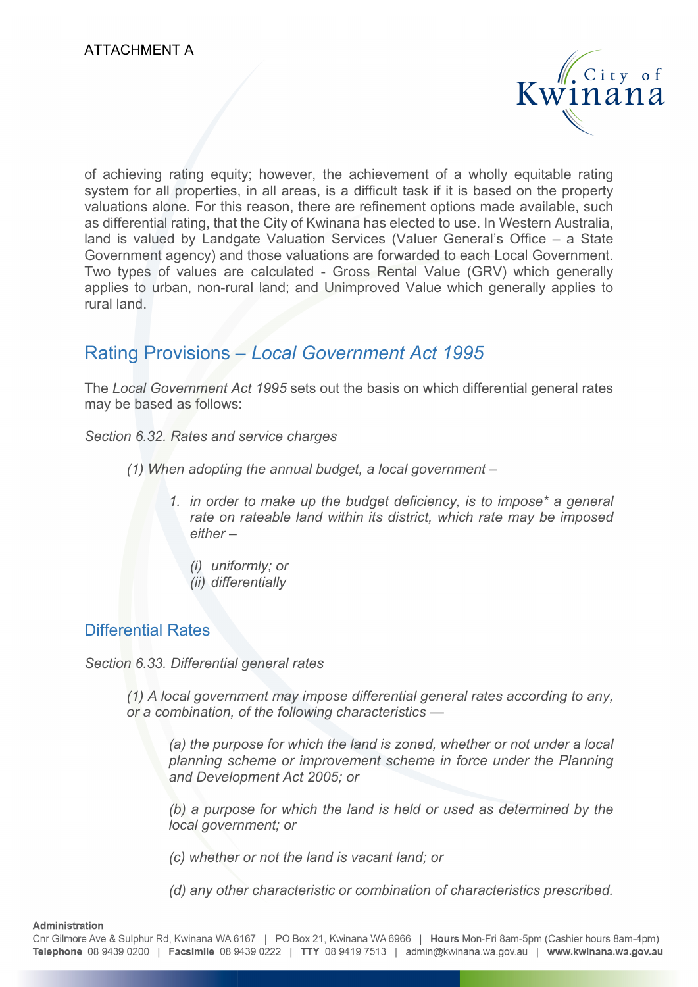

of achieving rating equity; however, the achievement of a wholly equitable rating system for all properties, in all areas, is a difficult task if it is based on the property valuations alone. For this reason, there are refinement options made available, such as differential rating, that the City of Kwinana has elected to use. In Western Australia, land is valued by Landgate Valuation Services (Valuer General's Office – a State Government agency) and those valuations are forwarded to each Local Government. Two types of values are calculated - Gross Rental Value (GRV) which generally applies to urban, non-rural land; and Unimproved Value which generally applies to rural land.

## Rating Provisions – *Local Government Act 1995*

The *Local Government Act 1995* sets out the basis on which differential general rates may be based as follows:

*Section 6.32. Rates and service charges* 

- *(1) When adopting the annual budget, a local government* 
	- *1. in order to make up the budget deficiency, is to impose\* a general rate on rateable land within its district, which rate may be imposed either –* 
		- *(i) uniformly; or*
		- *(ii) differentially*

#### Differential Rates

*Section 6.33. Differential general rates* 

*(1) A local government may impose differential general rates according to any, or a combination, of the following characteristics —* 

*(a) the purpose for which the land is zoned, whether or not under a local planning scheme or improvement scheme in force under the Planning and Development Act 2005; or* 

*(b) a purpose for which the land is held or used as determined by the local government; or* 

*(c) whether or not the land is vacant land; or* 

*(d) any other characteristic or combination of characteristics prescribed.*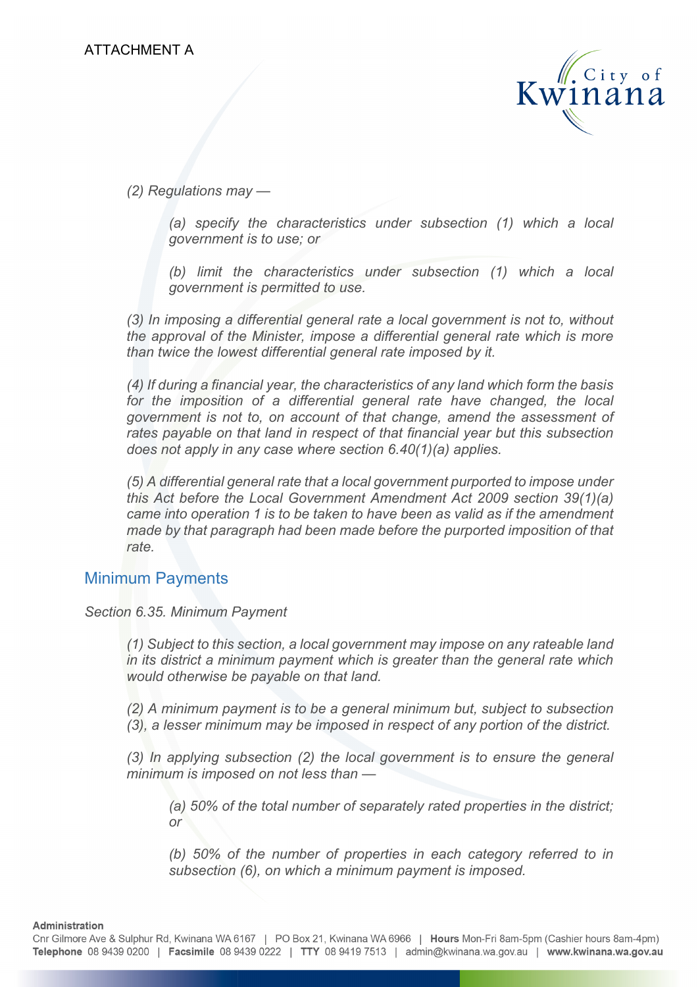

*(2) Regulations may —* 

*(a) specify the characteristics under subsection (1) which a local government is to use; or* 

*(b) limit the characteristics under subsection (1) which a local government is permitted to use.* 

*(3) In imposing a differential general rate a local government is not to, without the approval of the Minister, impose a differential general rate which is more than twice the lowest differential general rate imposed by it.* 

*(4) If during a financial year, the characteristics of any land which form the basis*  for the imposition of a differential general rate have changed, the local *government is not to, on account of that change, amend the assessment of rates payable on that land in respect of that financial year but this subsection does not apply in any case where section 6.40(1)(a) applies.* 

*(5) A differential general rate that a local government purported to impose under this Act before the Local Government Amendment Act 2009 section 39(1)(a) came into operation 1 is to be taken to have been as valid as if the amendment made by that paragraph had been made before the purported imposition of that rate.* 

#### Minimum Payments

#### *Section 6.35. Minimum Payment*

*(1) Subject to this section, a local government may impose on any rateable land in its district a minimum payment which is greater than the general rate which would otherwise be payable on that land.* 

*(2) A minimum payment is to be a general minimum but, subject to subsection (3), a lesser minimum may be imposed in respect of any portion of the district.* 

*(3) In applying subsection (2) the local government is to ensure the general minimum is imposed on not less than —* 

*(a) 50% of the total number of separately rated properties in the district; or* 

*(b) 50% of the number of properties in each category referred to in subsection (6), on which a minimum payment is imposed.*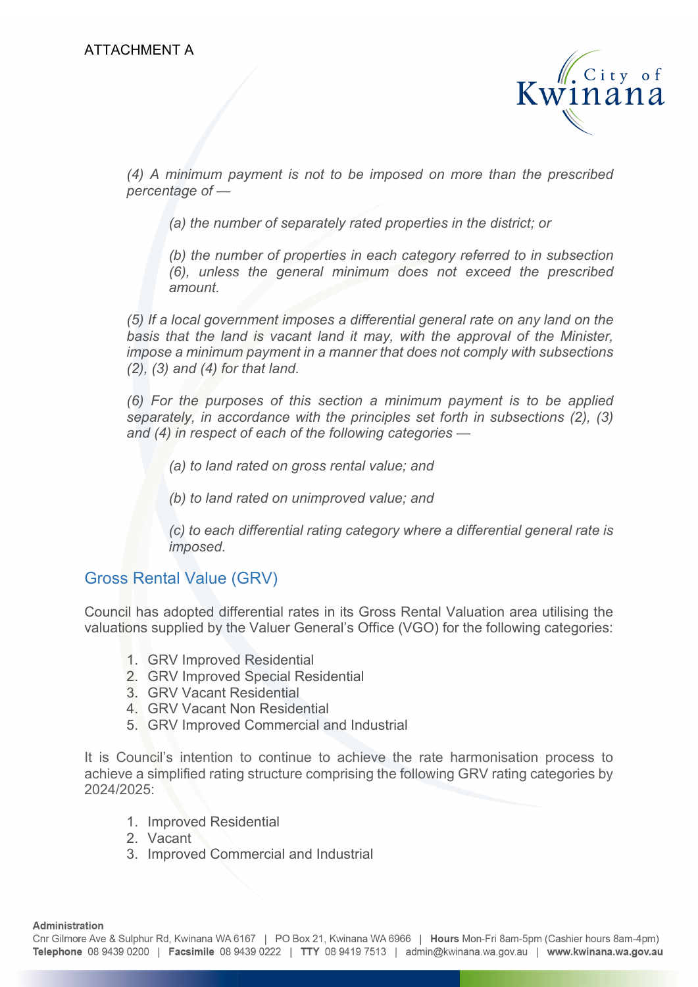

*(4) A minimum payment is not to be imposed on more than the prescribed percentage of —* 

*(a) the number of separately rated properties in the district; or* 

*(b) the number of properties in each category referred to in subsection (6), unless the general minimum does not exceed the prescribed amount.* 

*(5) If a local government imposes a differential general rate on any land on the basis that the land is vacant land it may, with the approval of the Minister, impose a minimum payment in a manner that does not comply with subsections (2), (3) and (4) for that land.* 

*(6) For the purposes of this section a minimum payment is to be applied separately, in accordance with the principles set forth in subsections (2), (3) and (4) in respect of each of the following categories —* 

*(a) to land rated on gross rental value; and* 

*(b) to land rated on unimproved value; and* 

*(c) to each differential rating category where a differential general rate is imposed.* 

#### Gross Rental Value (GRV)

Council has adopted differential rates in its Gross Rental Valuation area utilising the valuations supplied by the Valuer General's Office (VGO) for the following categories:

- 1. GRV Improved Residential
- 2. GRV Improved Special Residential
- 3. GRV Vacant Residential
- 4. GRV Vacant Non Residential
- 5. GRV Improved Commercial and Industrial

It is Council's intention to continue to achieve the rate harmonisation process to achieve a simplified rating structure comprising the following GRV rating categories by 2024/2025:

- 1. Improved Residential
- 2. Vacant
- 3. Improved Commercial and Industrial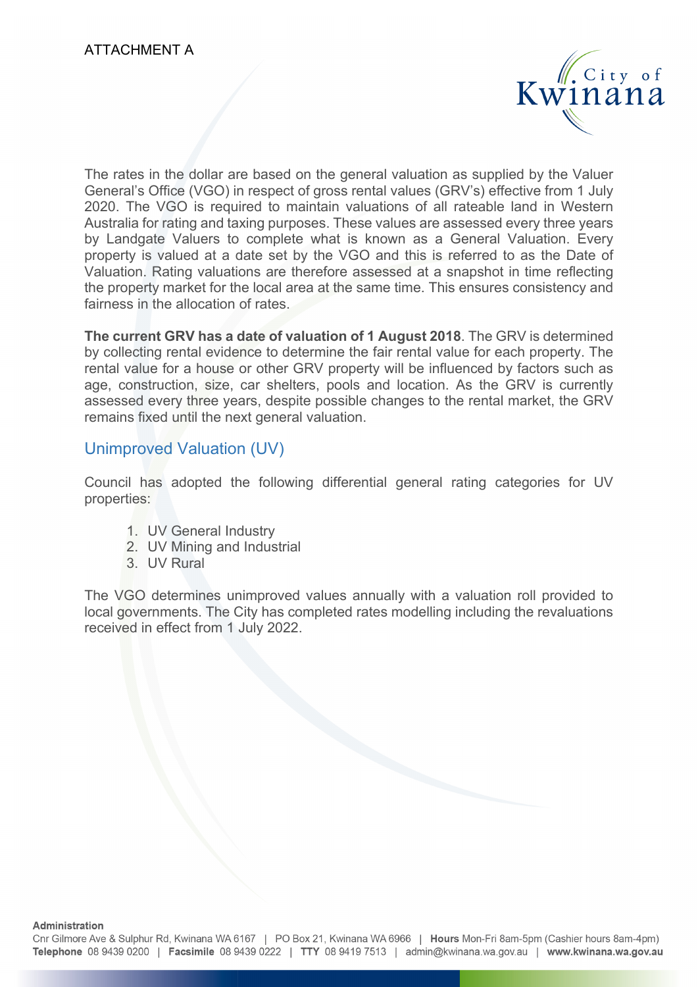

The rates in the dollar are based on the general valuation as supplied by the Valuer General's Office (VGO) in respect of gross rental values (GRV's) effective from 1 July 2020. The VGO is required to maintain valuations of all rateable land in Western Australia for rating and taxing purposes. These values are assessed every three years by Landgate Valuers to complete what is known as a General Valuation. Every property is valued at a date set by the VGO and this is referred to as the Date of Valuation. Rating valuations are therefore assessed at a snapshot in time reflecting the property market for the local area at the same time. This ensures consistency and fairness in the allocation of rates.

**The current GRV has a date of valuation of 1 August 2018**. The GRV is determined by collecting rental evidence to determine the fair rental value for each property. The rental value for a house or other GRV property will be influenced by factors such as age, construction, size, car shelters, pools and location. As the GRV is currently assessed every three years, despite possible changes to the rental market, the GRV remains fixed until the next general valuation.

### Unimproved Valuation (UV)

Council has adopted the following differential general rating categories for UV properties:

- 1. UV General Industry
- 2. UV Mining and Industrial
- 3. UV Rural

The VGO determines unimproved values annually with a valuation roll provided to local governments. The City has completed rates modelling including the revaluations received in effect from 1 July 2022.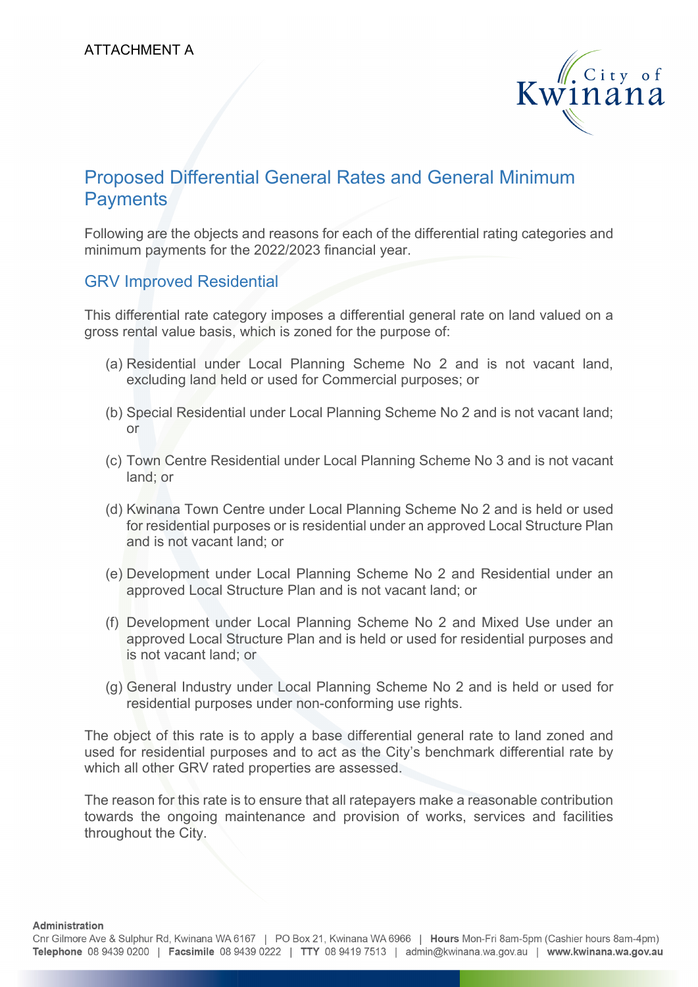

## Proposed Differential General Rates and General Minimum **Payments**

Following are the objects and reasons for each of the differential rating categories and minimum payments for the 2022/2023 financial year.

#### GRV Improved Residential

This differential rate category imposes a differential general rate on land valued on a gross rental value basis, which is zoned for the purpose of:

- (a) Residential under Local Planning Scheme No 2 and is not vacant land, excluding land held or used for Commercial purposes; or
- (b) Special Residential under Local Planning Scheme No 2 and is not vacant land; or
- (c) Town Centre Residential under Local Planning Scheme No 3 and is not vacant land; or
- (d) Kwinana Town Centre under Local Planning Scheme No 2 and is held or used for residential purposes or is residential under an approved Local Structure Plan and is not vacant land; or
- (e) Development under Local Planning Scheme No 2 and Residential under an approved Local Structure Plan and is not vacant land; or
- (f) Development under Local Planning Scheme No 2 and Mixed Use under an approved Local Structure Plan and is held or used for residential purposes and is not vacant land; or
- (g) General Industry under Local Planning Scheme No 2 and is held or used for residential purposes under non-conforming use rights.

The object of this rate is to apply a base differential general rate to land zoned and used for residential purposes and to act as the City's benchmark differential rate by which all other GRV rated properties are assessed.

The reason for this rate is to ensure that all ratepayers make a reasonable contribution towards the ongoing maintenance and provision of works, services and facilities throughout the City.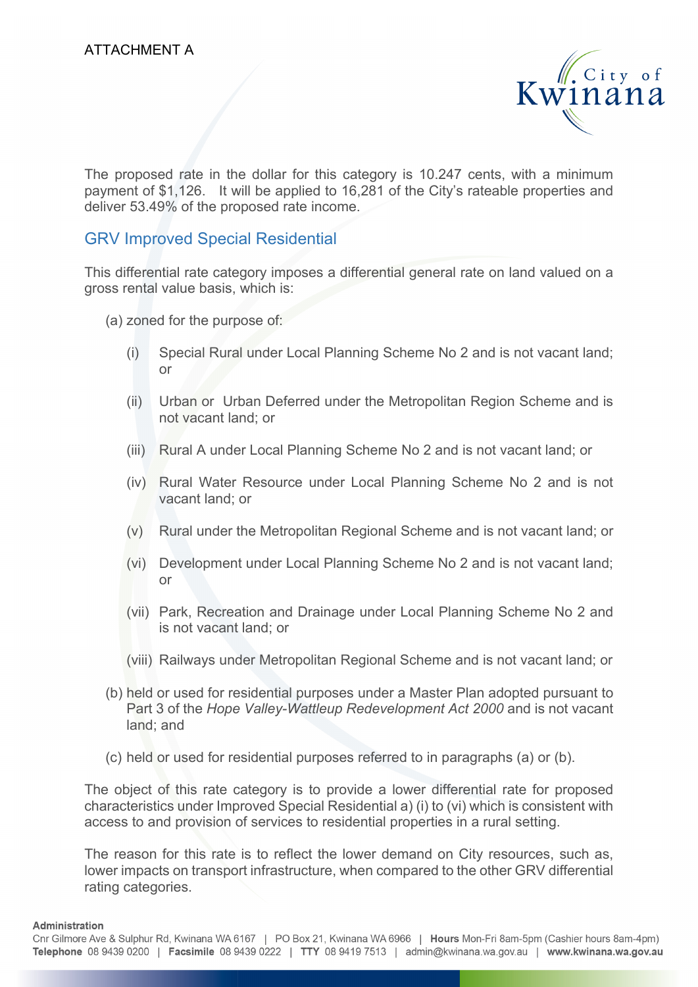

The proposed rate in the dollar for this category is 10.247 cents, with a minimum payment of \$1,126. It will be applied to 16,281 of the City's rateable properties and deliver 53.49% of the proposed rate income.

#### GRV Improved Special Residential

This differential rate category imposes a differential general rate on land valued on a gross rental value basis, which is:

- (a) zoned for the purpose of:
	- (i) Special Rural under Local Planning Scheme No 2 and is not vacant land; or
	- (ii) Urban or Urban Deferred under the Metropolitan Region Scheme and is not vacant land; or
	- (iii) Rural A under Local Planning Scheme No 2 and is not vacant land; or
	- (iv) Rural Water Resource under Local Planning Scheme No 2 and is not vacant land; or
	- (v) Rural under the Metropolitan Regional Scheme and is not vacant land; or
	- (vi) Development under Local Planning Scheme No 2 and is not vacant land; or
	- (vii) Park, Recreation and Drainage under Local Planning Scheme No 2 and is not vacant land; or
	- (viii) Railways under Metropolitan Regional Scheme and is not vacant land; or
- (b) held or used for residential purposes under a Master Plan adopted pursuant to Part 3 of the *Hope Valley-Wattleup Redevelopment Act 2000* and is not vacant land; and
- (c) held or used for residential purposes referred to in paragraphs (a) or (b).

The object of this rate category is to provide a lower differential rate for proposed characteristics under Improved Special Residential a) (i) to (vi) which is consistent with access to and provision of services to residential properties in a rural setting.

The reason for this rate is to reflect the lower demand on City resources, such as, lower impacts on transport infrastructure, when compared to the other GRV differential rating categories.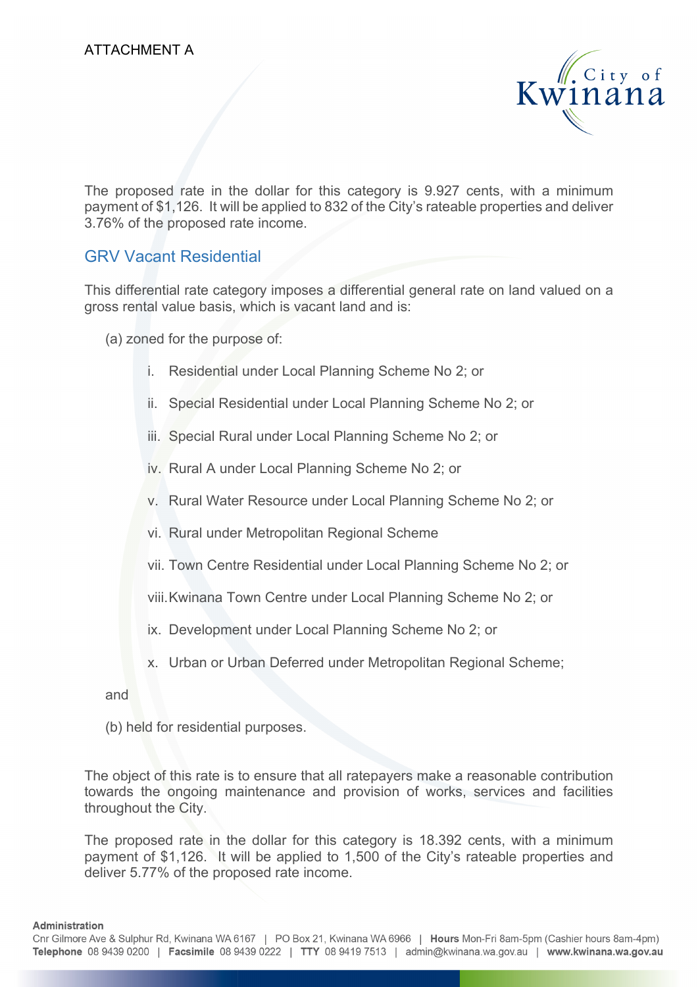

The proposed rate in the dollar for this category is 9.927 cents, with a minimum payment of \$1,126. It will be applied to 832 of the City's rateable properties and deliver 3.76% of the proposed rate income.

### GRV Vacant Residential

This differential rate category imposes a differential general rate on land valued on a gross rental value basis, which is vacant land and is:

(a) zoned for the purpose of:

- i. Residential under Local Planning Scheme No 2; or
- ii. Special Residential under Local Planning Scheme No 2; or
- iii. Special Rural under Local Planning Scheme No 2; or
- iv. Rural A under Local Planning Scheme No 2; or
- v. Rural Water Resource under Local Planning Scheme No 2; or
- vi. Rural under Metropolitan Regional Scheme
- vii. Town Centre Residential under Local Planning Scheme No 2; or
- viii. Kwinana Town Centre under Local Planning Scheme No 2; or
- ix. Development under Local Planning Scheme No 2; or
- x. Urban or Urban Deferred under Metropolitan Regional Scheme;

and

(b) held for residential purposes.

The object of this rate is to ensure that all ratepayers make a reasonable contribution towards the ongoing maintenance and provision of works, services and facilities throughout the City.

The proposed rate in the dollar for this category is 18.392 cents, with a minimum payment of \$1,126. It will be applied to 1,500 of the City's rateable properties and deliver 5.77% of the proposed rate income.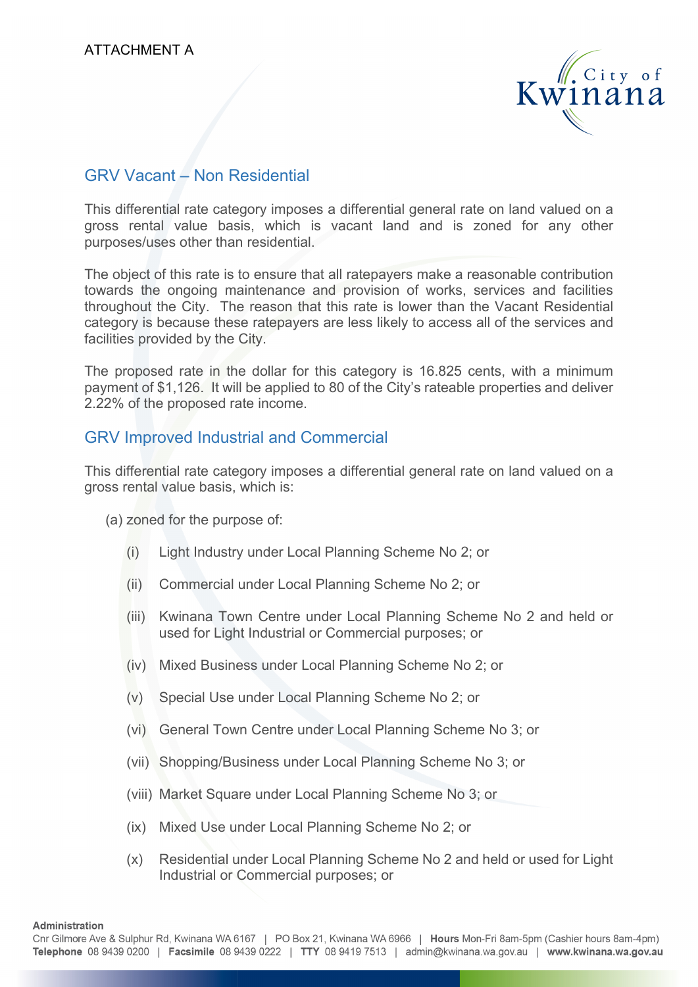

### GRV Vacant – Non Residential

This differential rate category imposes a differential general rate on land valued on a gross rental value basis, which is vacant land and is zoned for any other purposes/uses other than residential.

The object of this rate is to ensure that all ratepayers make a reasonable contribution towards the ongoing maintenance and provision of works, services and facilities throughout the City. The reason that this rate is lower than the Vacant Residential category is because these ratepayers are less likely to access all of the services and facilities provided by the City.

The proposed rate in the dollar for this category is 16.825 cents, with a minimum payment of \$1,126. It will be applied to 80 of the City's rateable properties and deliver 2.22% of the proposed rate income.

#### GRV Improved Industrial and Commercial

This differential rate category imposes a differential general rate on land valued on a gross rental value basis, which is:

(a) zoned for the purpose of:

- (i) Light Industry under Local Planning Scheme No 2; or
- (ii) Commercial under Local Planning Scheme No 2; or
- (iii) Kwinana Town Centre under Local Planning Scheme No 2 and held or used for Light Industrial or Commercial purposes; or
- (iv) Mixed Business under Local Planning Scheme No 2; or
- (v) Special Use under Local Planning Scheme No 2; or
- (vi) General Town Centre under Local Planning Scheme No 3; or
- (vii) Shopping/Business under Local Planning Scheme No 3; or
- (viii) Market Square under Local Planning Scheme No 3; or
- (ix) Mixed Use under Local Planning Scheme No 2; or
- (x) Residential under Local Planning Scheme No 2 and held or used for Light Industrial or Commercial purposes; or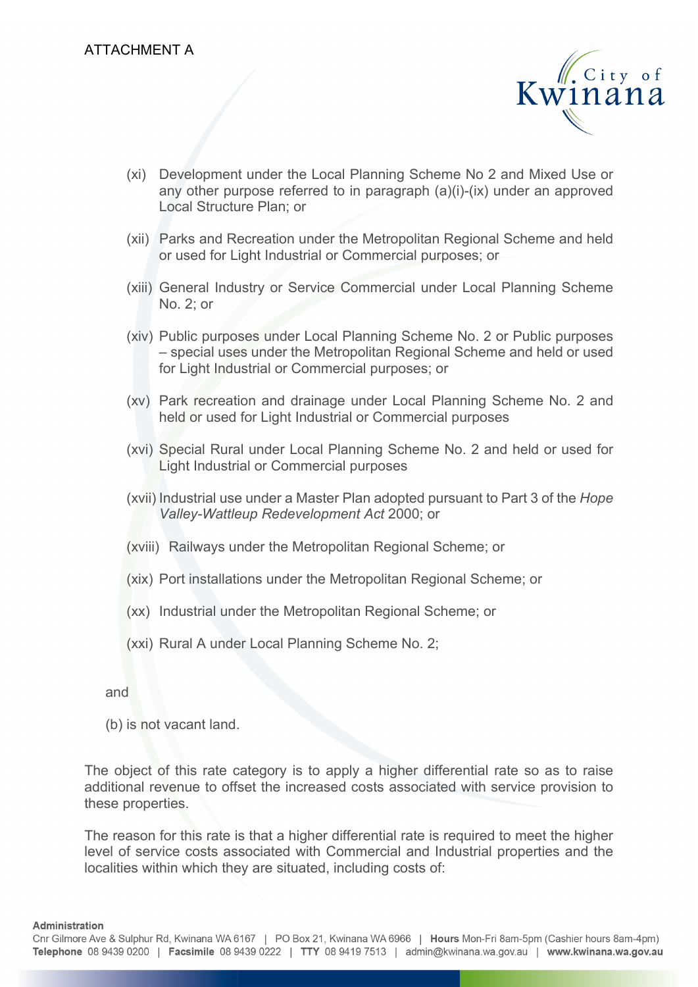

- (xi) Development under the Local Planning Scheme No 2 and Mixed Use or any other purpose referred to in paragraph  $(a)(i)-(ix)$  under an approved Local Structure Plan; or
- (xii) Parks and Recreation under the Metropolitan Regional Scheme and held or used for Light Industrial or Commercial purposes; or
- (xiii) General Industry or Service Commercial under Local Planning Scheme No. 2; or
- (xiv) Public purposes under Local Planning Scheme No. 2 or Public purposes – special uses under the Metropolitan Regional Scheme and held or used for Light Industrial or Commercial purposes; or
- (xv) Park recreation and drainage under Local Planning Scheme No. 2 and held or used for Light Industrial or Commercial purposes
- (xvi) Special Rural under Local Planning Scheme No. 2 and held or used for Light Industrial or Commercial purposes
- (xvii) Industrial use under a Master Plan adopted pursuant to Part 3 of the *Hope Valley-Wattleup Redevelopment Act* 2000; or
- (xviii) Railways under the Metropolitan Regional Scheme; or
- (xix) Port installations under the Metropolitan Regional Scheme; or
- (xx) Industrial under the Metropolitan Regional Scheme; or
- (xxi) Rural A under Local Planning Scheme No. 2;

and

(b) is not vacant land.

The object of this rate category is to apply a higher differential rate so as to raise additional revenue to offset the increased costs associated with service provision to these properties.

The reason for this rate is that a higher differential rate is required to meet the higher level of service costs associated with Commercial and Industrial properties and the localities within which they are situated, including costs of: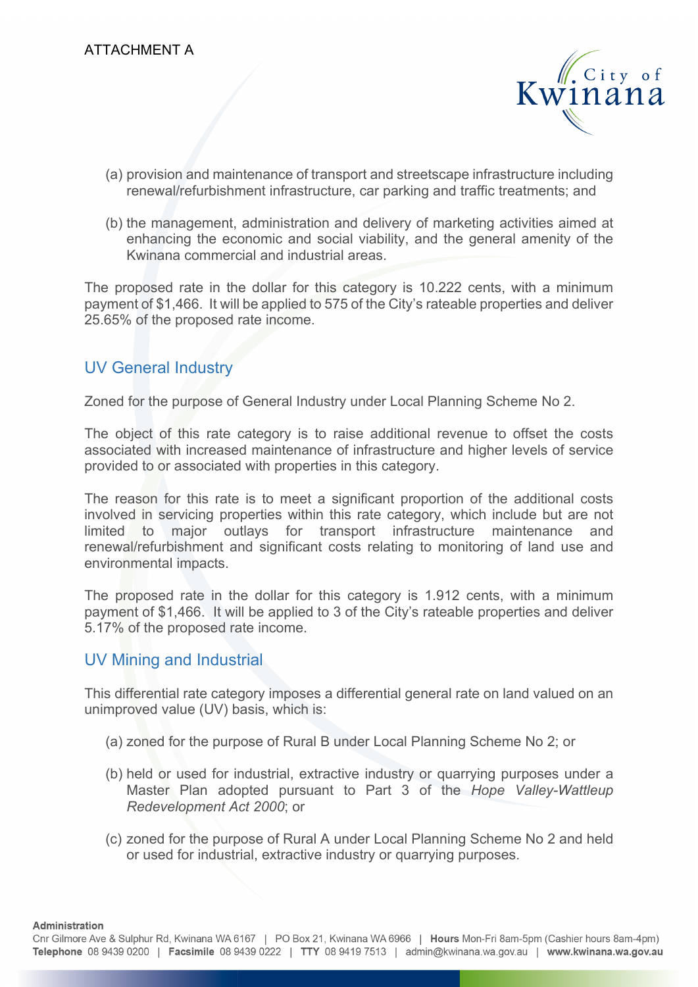

- (a) provision and maintenance of transport and streetscape infrastructure including renewal/refurbishment infrastructure, car parking and traffic treatments; and
- (b) the management, administration and delivery of marketing activities aimed at enhancing the economic and social viability, and the general amenity of the Kwinana commercial and industrial areas.

The proposed rate in the dollar for this category is 10.222 cents, with a minimum payment of \$1,466. It will be applied to 575 of the City's rateable properties and deliver 25.65% of the proposed rate income.

#### UV General Industry

Zoned for the purpose of General Industry under Local Planning Scheme No 2.

The object of this rate category is to raise additional revenue to offset the costs associated with increased maintenance of infrastructure and higher levels of service provided to or associated with properties in this category.

The reason for this rate is to meet a significant proportion of the additional costs involved in servicing properties within this rate category, which include but are not limited to major outlays for transport infrastructure maintenance and renewal/refurbishment and significant costs relating to monitoring of land use and environmental impacts.

The proposed rate in the dollar for this category is 1.912 cents, with a minimum payment of \$1,466. It will be applied to 3 of the City's rateable properties and deliver 5.17% of the proposed rate income.

#### UV Mining and Industrial

This differential rate category imposes a differential general rate on land valued on an unimproved value (UV) basis, which is:

- (a) zoned for the purpose of Rural B under Local Planning Scheme No 2; or
- (b) held or used for industrial, extractive industry or quarrying purposes under a Master Plan adopted pursuant to Part 3 of the *Hope Valley-Wattleup Redevelopment Act 2000*; or
- (c) zoned for the purpose of Rural A under Local Planning Scheme No 2 and held or used for industrial, extractive industry or quarrying purposes.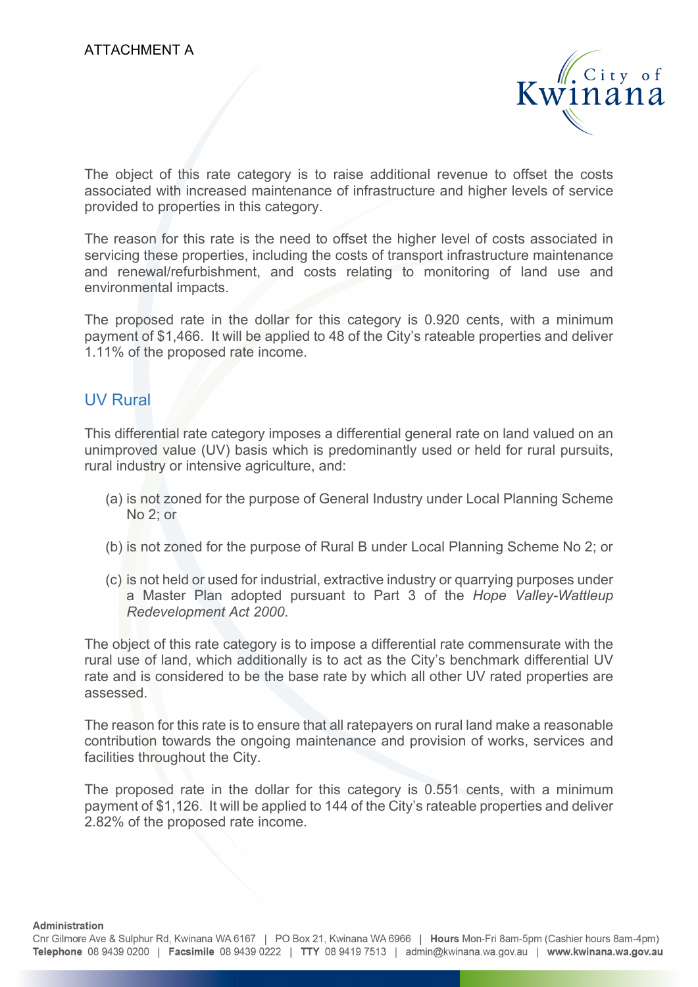

The object of this rate category is to raise additional revenue to offset the costs associated with increased maintenance of infrastructure and higher levels of service provided to properties in this category.

The reason for this rate is the need to offset the higher level of costs associated in servicing these properties, including the costs of transport infrastructure maintenance and renewal/refurbishment, and costs relating to monitoring of land use and environmental impacts.

The proposed rate in the dollar for this category is 0.920 cents, with a minimum payment of \$1,466. It will be applied to 48 of the City's rateable properties and deliver 1.11% of the proposed rate income.

#### UV Rural

This differential rate category imposes a differential general rate on land valued on an unimproved value (UV) basis which is predominantly used or held for rural pursuits, rural industry or intensive agriculture, and:

- (a) is not zoned for the purpose of General Industry under Local Planning Scheme No 2; or
- (b) is not zoned for the purpose of Rural B under Local Planning Scheme No 2; or
- (c) is not held or used for industrial, extractive industry or quarrying purposes under a Master Plan adopted pursuant to Part 3 of the *Hope Valley-Wattleup Redevelopment Act 2000*.

The object of this rate category is to impose a differential rate commensurate with the rural use of land, which additionally is to act as the City's benchmark differential UV rate and is considered to be the base rate by which all other UV rated properties are assessed.

The reason for this rate is to ensure that all ratepayers on rural land make a reasonable contribution towards the ongoing maintenance and provision of works, services and facilities throughout the City.

The proposed rate in the dollar for this category is 0.551 cents, with a minimum payment of \$1,126. It will be applied to 144 of the City's rateable properties and deliver 2.82% of the proposed rate income.